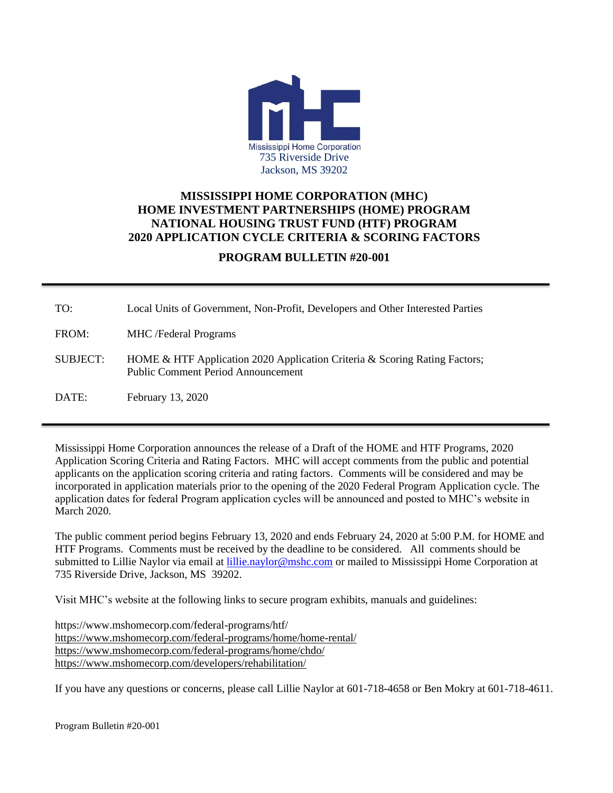

## **MISSISSIPPI HOME CORPORATION (MHC) HOME INVESTMENT PARTNERSHIPS (HOME) PROGRAM NATIONAL HOUSING TRUST FUND (HTF) PROGRAM 2020 APPLICATION CYCLE CRITERIA & SCORING FACTORS**

## **PROGRAM BULLETIN #20-001**

| TO:             | Local Units of Government, Non-Profit, Developers and Other Interested Parties                                          |
|-----------------|-------------------------------------------------------------------------------------------------------------------------|
| FROM:           | <b>MHC</b> /Federal Programs                                                                                            |
| <b>SUBJECT:</b> | HOME & HTF Application 2020 Application Criteria & Scoring Rating Factors;<br><b>Public Comment Period Announcement</b> |
| DATE:           | February 13, 2020                                                                                                       |

Mississippi Home Corporation announces the release of a Draft of the HOME and HTF Programs, 2020 Application Scoring Criteria and Rating Factors. MHC will accept comments from the public and potential applicants on the application scoring criteria and rating factors. Comments will be considered and may be incorporated in application materials prior to the opening of the 2020 Federal Program Application cycle. The application dates for federal Program application cycles will be announced and posted to MHC's website in March 2020.

The public comment period begins February 13, 2020 and ends February 24, 2020 at 5:00 P.M. for HOME and HTF Programs. Comments must be received by the deadline to be considered. All comments should be submitted to Lillie Naylor via email at *lillie.naylor@mshc.com* or mailed to Mississippi Home Corporation at 735 Riverside Drive, Jackson, MS 39202.

Visit MHC's website at the following links to secure program exhibits, manuals and guidelines:

https://www.mshomecorp.com/federal-programs/htf/ <https://www.mshomecorp.com/federal-programs/home/home-rental/> <https://www.mshomecorp.com/federal-programs/home/chdo/> <https://www.mshomecorp.com/developers/rehabilitation/>

If you have any questions or concerns, please call Lillie Naylor at 601-718-4658 or Ben Mokry at 601-718-4611.